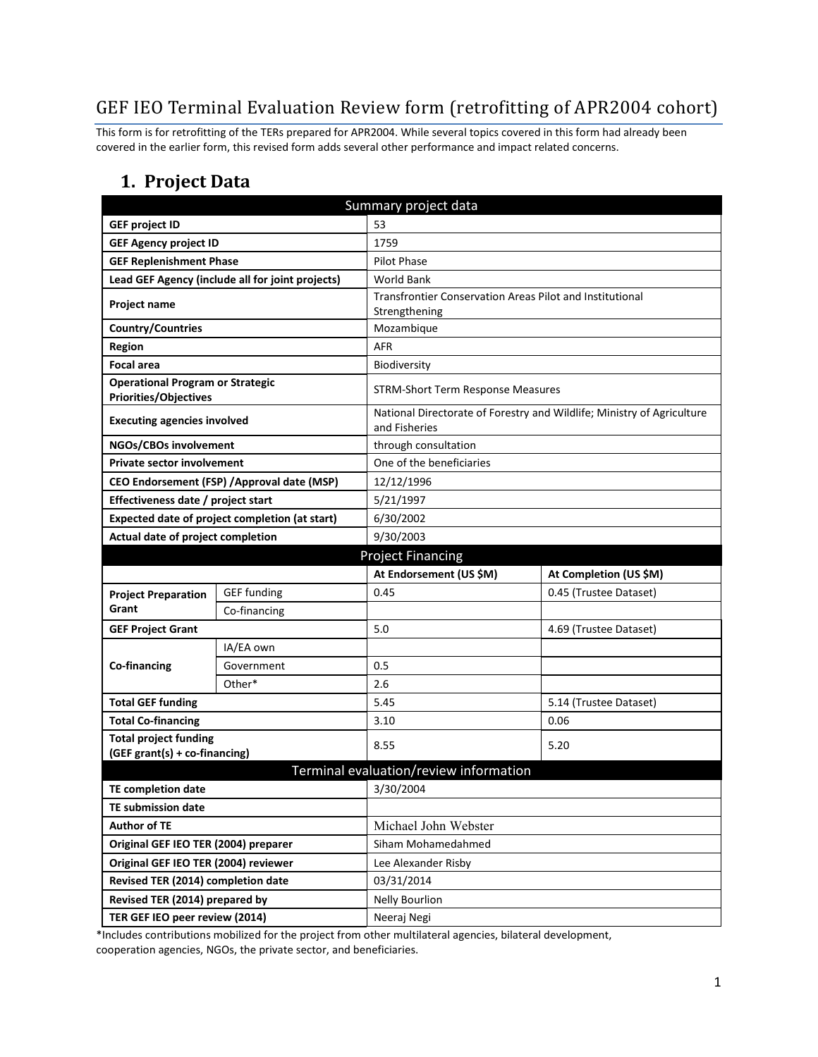# GEF IEO Terminal Evaluation Review form (retrofitting of APR2004 cohort)

This form is for retrofitting of the TERs prepared for APR2004. While several topics covered in this form had already been covered in the earlier form, this revised form adds several other performance and impact related concerns.

#### **1. Project Data**

| Summary project data                                                    |                                                  |                                                                           |                                                                        |  |
|-------------------------------------------------------------------------|--------------------------------------------------|---------------------------------------------------------------------------|------------------------------------------------------------------------|--|
| <b>GEF project ID</b>                                                   |                                                  | 53                                                                        |                                                                        |  |
| <b>GEF Agency project ID</b>                                            |                                                  | 1759                                                                      |                                                                        |  |
| <b>GEF Replenishment Phase</b>                                          |                                                  | <b>Pilot Phase</b>                                                        |                                                                        |  |
|                                                                         | Lead GEF Agency (include all for joint projects) | <b>World Bank</b>                                                         |                                                                        |  |
| <b>Project name</b>                                                     |                                                  | Transfrontier Conservation Areas Pilot and Institutional<br>Strengthening |                                                                        |  |
| <b>Country/Countries</b>                                                |                                                  | Mozambique                                                                |                                                                        |  |
| <b>Region</b>                                                           |                                                  | <b>AFR</b>                                                                |                                                                        |  |
| <b>Focal area</b>                                                       |                                                  | Biodiversity                                                              |                                                                        |  |
| <b>Operational Program or Strategic</b><br><b>Priorities/Objectives</b> |                                                  | <b>STRM-Short Term Response Measures</b>                                  |                                                                        |  |
| <b>Executing agencies involved</b>                                      |                                                  | and Fisheries                                                             | National Directorate of Forestry and Wildlife; Ministry of Agriculture |  |
| NGOs/CBOs involvement                                                   |                                                  | through consultation                                                      |                                                                        |  |
| <b>Private sector involvement</b>                                       |                                                  | One of the beneficiaries                                                  |                                                                        |  |
|                                                                         | CEO Endorsement (FSP) / Approval date (MSP)      | 12/12/1996                                                                |                                                                        |  |
| Effectiveness date / project start                                      |                                                  | 5/21/1997                                                                 |                                                                        |  |
|                                                                         | Expected date of project completion (at start)   | 6/30/2002                                                                 |                                                                        |  |
| Actual date of project completion                                       |                                                  | 9/30/2003                                                                 |                                                                        |  |
|                                                                         |                                                  | <b>Project Financing</b>                                                  |                                                                        |  |
|                                                                         |                                                  |                                                                           |                                                                        |  |
|                                                                         |                                                  | At Endorsement (US \$M)                                                   | At Completion (US \$M)                                                 |  |
| <b>Project Preparation</b>                                              | <b>GEF</b> funding                               | 0.45                                                                      | 0.45 (Trustee Dataset)                                                 |  |
| Grant                                                                   | Co-financing                                     |                                                                           |                                                                        |  |
| <b>GEF Project Grant</b>                                                |                                                  | 5.0                                                                       | 4.69 (Trustee Dataset)                                                 |  |
|                                                                         | IA/EA own                                        |                                                                           |                                                                        |  |
| Co-financing                                                            | Government                                       | 0.5                                                                       |                                                                        |  |
|                                                                         | Other*                                           | 2.6                                                                       |                                                                        |  |
| <b>Total GEF funding</b>                                                |                                                  | 5.45                                                                      | 5.14 (Trustee Dataset)                                                 |  |
| <b>Total Co-financing</b>                                               |                                                  | 3.10                                                                      | 0.06                                                                   |  |
| <b>Total project funding</b><br>(GEF grant(s) + co-financing)           |                                                  | 8.55                                                                      | 5.20                                                                   |  |
|                                                                         |                                                  | Terminal evaluation/review information                                    |                                                                        |  |
| <b>TE completion date</b>                                               |                                                  | 3/30/2004                                                                 |                                                                        |  |
| <b>TE submission date</b>                                               |                                                  |                                                                           |                                                                        |  |
| <b>Author of TE</b>                                                     |                                                  | Michael John Webster                                                      |                                                                        |  |
| Original GEF IEO TER (2004) preparer                                    |                                                  | Siham Mohamedahmed                                                        |                                                                        |  |
| Original GEF IEO TER (2004) reviewer                                    |                                                  | Lee Alexander Risby                                                       |                                                                        |  |
| Revised TER (2014) completion date                                      |                                                  | 03/31/2014                                                                |                                                                        |  |
| Revised TER (2014) prepared by                                          |                                                  | <b>Nelly Bourlion</b>                                                     |                                                                        |  |

\*Includes contributions mobilized for the project from other multilateral agencies, bilateral development, cooperation agencies, NGOs, the private sector, and beneficiaries.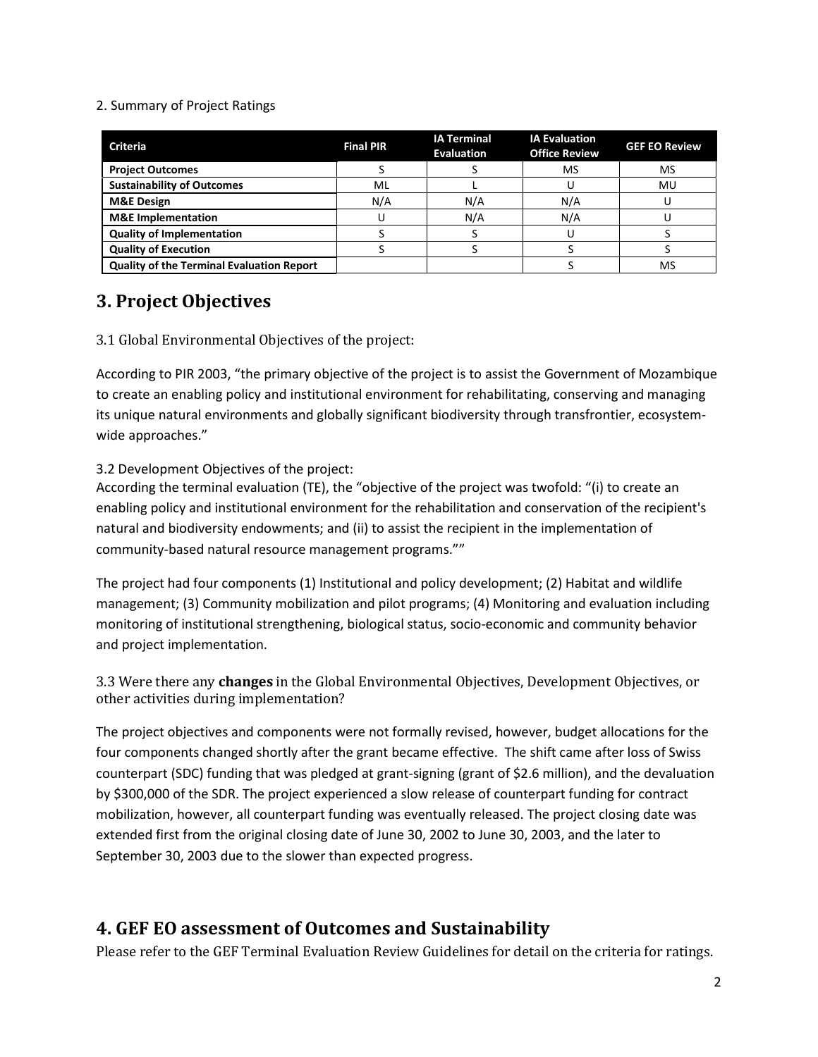#### 2. Summary of Project Ratings

| <b>Criteria</b>                                  | <b>Final PIR</b> | <b>IA Terminal</b><br><b>Evaluation</b> | <b>IA Evaluation</b><br><b>Office Review</b> | <b>GEF EO Review</b> |
|--------------------------------------------------|------------------|-----------------------------------------|----------------------------------------------|----------------------|
| <b>Project Outcomes</b>                          |                  |                                         | MS                                           | MS                   |
| <b>Sustainability of Outcomes</b>                | ML               |                                         |                                              | MU                   |
| <b>M&amp;E Design</b>                            | N/A              | N/A                                     | N/A                                          |                      |
| <b>M&amp;E</b> Implementation                    |                  | N/A                                     | N/A                                          |                      |
| <b>Quality of Implementation</b>                 |                  |                                         |                                              |                      |
| <b>Quality of Execution</b>                      |                  |                                         |                                              |                      |
| <b>Quality of the Terminal Evaluation Report</b> |                  |                                         |                                              | MS                   |

## **3. Project Objectives**

3.1 Global Environmental Objectives of the project:

According to PIR 2003, "the primary objective of the project is to assist the Government of Mozambique to create an enabling policy and institutional environment for rehabilitating, conserving and managing its unique natural environments and globally significant biodiversity through transfrontier, ecosystemwide approaches."

#### 3.2 Development Objectives of the project:

According the terminal evaluation (TE), the "objective of the project was twofold: "(i) to create an enabling policy and institutional environment for the rehabilitation and conservation of the recipient's natural and biodiversity endowments; and (ii) to assist the recipient in the implementation of community-based natural resource management programs.""

The project had four components (1) Institutional and policy development; (2) Habitat and wildlife management; (3) Community mobilization and pilot programs; (4) Monitoring and evaluation including monitoring of institutional strengthening, biological status, socio-economic and community behavior and project implementation.

3.3 Were there any **changes** in the Global Environmental Objectives, Development Objectives, or other activities during implementation?

The project objectives and components were not formally revised, however, budget allocations for the four components changed shortly after the grant became effective. The shift came after loss of Swiss counterpart (SDC) funding that was pledged at grant-signing (grant of \$2.6 million), and the devaluation by \$300,000 of the SDR. The project experienced a slow release of counterpart funding for contract mobilization, however, all counterpart funding was eventually released. The project closing date was extended first from the original closing date of June 30, 2002 to June 30, 2003, and the later to September 30, 2003 due to the slower than expected progress.

### **4. GEF EO assessment of Outcomes and Sustainability**

Please refer to the GEF Terminal Evaluation Review Guidelines for detail on the criteria for ratings.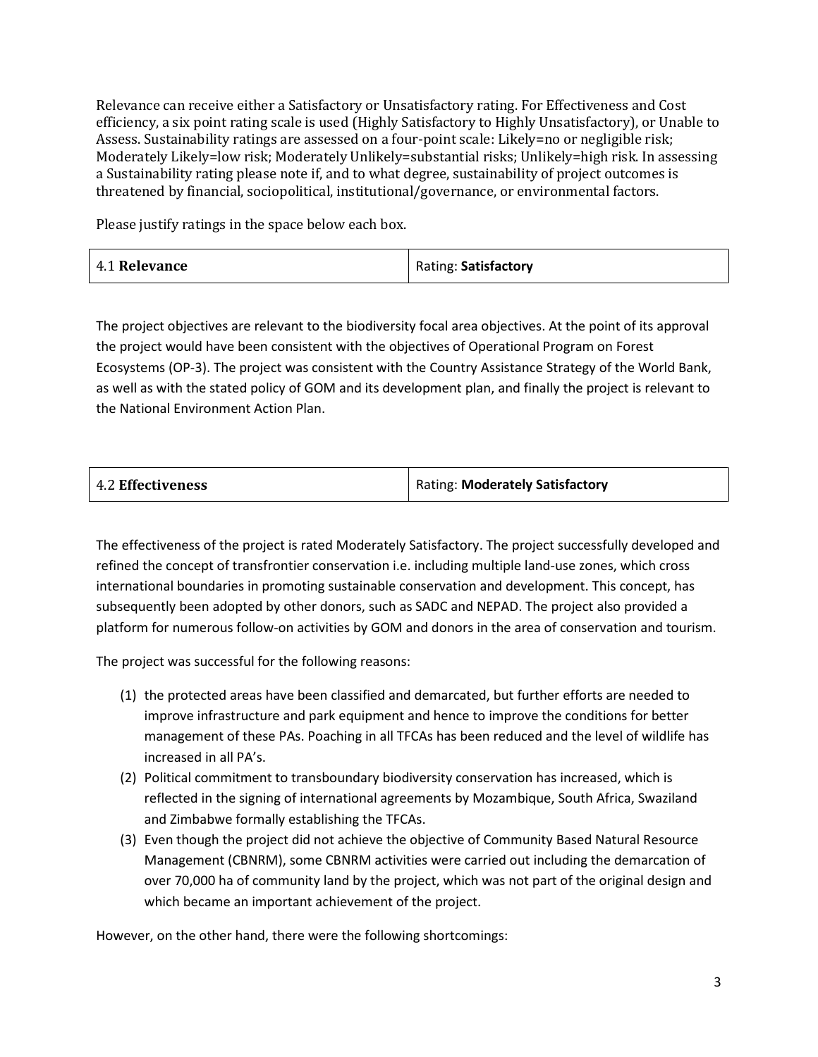Relevance can receive either a Satisfactory or Unsatisfactory rating. For Effectiveness and Cost efficiency, a six point rating scale is used (Highly Satisfactory to Highly Unsatisfactory), or Unable to Assess. Sustainability ratings are assessed on a four-point scale: Likely=no or negligible risk; Moderately Likely=low risk; Moderately Unlikely=substantial risks; Unlikely=high risk. In assessing a Sustainability rating please note if, and to what degree, sustainability of project outcomes is threatened by financial, sociopolitical, institutional/governance, or environmental factors.

Please justify ratings in the space below each box.

| 4.1 Relevance | Rating: Satisfactory |
|---------------|----------------------|
|---------------|----------------------|

The project objectives are relevant to the biodiversity focal area objectives. At the point of its approval the project would have been consistent with the objectives of Operational Program on Forest Ecosystems (OP-3). The project was consistent with the Country Assistance Strategy of the World Bank, as well as with the stated policy of GOM and its development plan, and finally the project is relevant to the National Environment Action Plan.

| 4.2 Effectiveness | Rating: Moderately Satisfactory |
|-------------------|---------------------------------|
|                   |                                 |

The effectiveness of the project is rated Moderately Satisfactory. The project successfully developed and refined the concept of transfrontier conservation i.e. including multiple land-use zones, which cross international boundaries in promoting sustainable conservation and development. This concept, has subsequently been adopted by other donors, such as SADC and NEPAD. The project also provided a platform for numerous follow-on activities by GOM and donors in the area of conservation and tourism.

The project was successful for the following reasons:

- (1) the protected areas have been classified and demarcated, but further efforts are needed to improve infrastructure and park equipment and hence to improve the conditions for better management of these PAs. Poaching in all TFCAs has been reduced and the level of wildlife has increased in all PA's.
- (2) Political commitment to transboundary biodiversity conservation has increased, which is reflected in the signing of international agreements by Mozambique, South Africa, Swaziland and Zimbabwe formally establishing the TFCAs.
- (3) Even though the project did not achieve the objective of Community Based Natural Resource Management (CBNRM), some CBNRM activities were carried out including the demarcation of over 70,000 ha of community land by the project, which was not part of the original design and which became an important achievement of the project.

However, on the other hand, there were the following shortcomings: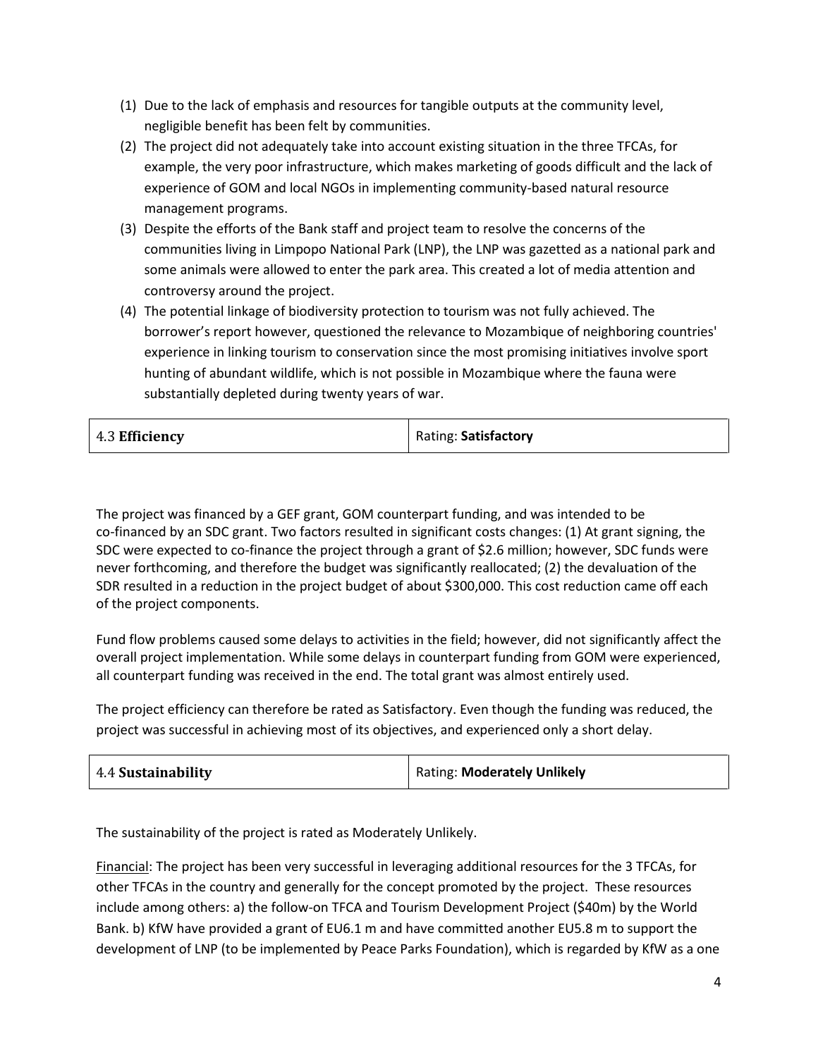- (1) Due to the lack of emphasis and resources for tangible outputs at the community level, negligible benefit has been felt by communities.
- (2) The project did not adequately take into account existing situation in the three TFCAs, for example, the very poor infrastructure, which makes marketing of goods difficult and the lack of experience of GOM and local NGOs in implementing community-based natural resource management programs.
- (3) Despite the efforts of the Bank staff and project team to resolve the concerns of the communities living in Limpopo National Park (LNP), the LNP was gazetted as a national park and some animals were allowed to enter the park area. This created a lot of media attention and controversy around the project.
- (4) The potential linkage of biodiversity protection to tourism was not fully achieved. The borrower's report however, questioned the relevance to Mozambique of neighboring countries' experience in linking tourism to conservation since the most promising initiatives involve sport hunting of abundant wildlife, which is not possible in Mozambique where the fauna were substantially depleted during twenty years of war.

| 4.3 Efficiency | Rating: Satisfactory |
|----------------|----------------------|
|----------------|----------------------|

The project was financed by a GEF grant, GOM counterpart funding, and was intended to be co-financed by an SDC grant. Two factors resulted in significant costs changes: (1) At grant signing, the SDC were expected to co-finance the project through a grant of \$2.6 million; however, SDC funds were never forthcoming, and therefore the budget was significantly reallocated; (2) the devaluation of the SDR resulted in a reduction in the project budget of about \$300,000. This cost reduction came off each of the project components.

Fund flow problems caused some delays to activities in the field; however, did not significantly affect the overall project implementation. While some delays in counterpart funding from GOM were experienced, all counterpart funding was received in the end. The total grant was almost entirely used.

The project efficiency can therefore be rated as Satisfactory. Even though the funding was reduced, the project was successful in achieving most of its objectives, and experienced only a short delay.

|  | 4.4 Sustainability | <b>Rating: Moderately Unlikely</b> |
|--|--------------------|------------------------------------|
|--|--------------------|------------------------------------|

The sustainability of the project is rated as Moderately Unlikely.

Financial: The project has been very successful in leveraging additional resources for the 3 TFCAs, for other TFCAs in the country and generally for the concept promoted by the project. These resources include among others: a) the follow-on TFCA and Tourism Development Project (\$40m) by the World Bank. b) KfW have provided a grant of EU6.1 m and have committed another EU5.8 m to support the development of LNP (to be implemented by Peace Parks Foundation), which is regarded by KfW as a one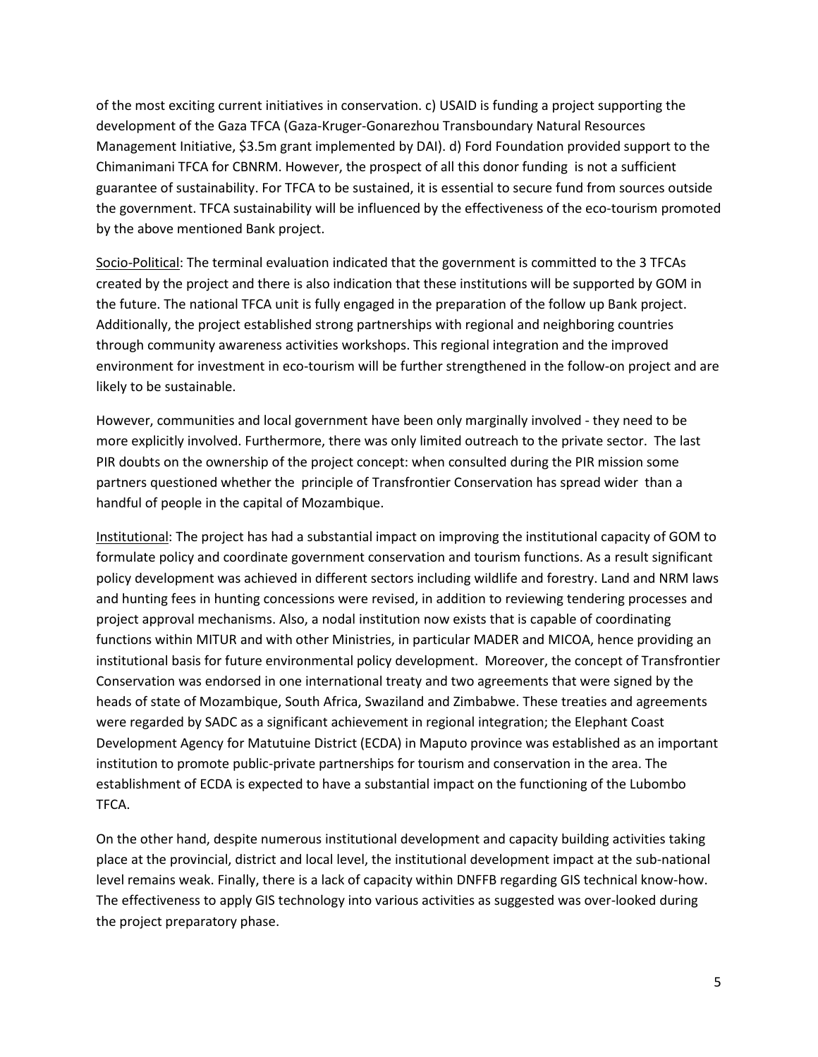of the most exciting current initiatives in conservation. c) USAID is funding a project supporting the development of the Gaza TFCA (Gaza-Kruger-Gonarezhou Transboundary Natural Resources Management Initiative, \$3.5m grant implemented by DAI). d) Ford Foundation provided support to the Chimanimani TFCA for CBNRM. However, the prospect of all this donor funding is not a sufficient guarantee of sustainability. For TFCA to be sustained, it is essential to secure fund from sources outside the government. TFCA sustainability will be influenced by the effectiveness of the eco-tourism promoted by the above mentioned Bank project.

Socio-Political: The terminal evaluation indicated that the government is committed to the 3 TFCAs created by the project and there is also indication that these institutions will be supported by GOM in the future. The national TFCA unit is fully engaged in the preparation of the follow up Bank project. Additionally, the project established strong partnerships with regional and neighboring countries through community awareness activities workshops. This regional integration and the improved environment for investment in eco-tourism will be further strengthened in the follow-on project and are likely to be sustainable.

However, communities and local government have been only marginally involved - they need to be more explicitly involved. Furthermore, there was only limited outreach to the private sector. The last PIR doubts on the ownership of the project concept: when consulted during the PIR mission some partners questioned whether the principle of Transfrontier Conservation has spread wider than a handful of people in the capital of Mozambique.

Institutional: The project has had a substantial impact on improving the institutional capacity of GOM to formulate policy and coordinate government conservation and tourism functions. As a result significant policy development was achieved in different sectors including wildlife and forestry. Land and NRM laws and hunting fees in hunting concessions were revised, in addition to reviewing tendering processes and project approval mechanisms. Also, a nodal institution now exists that is capable of coordinating functions within MITUR and with other Ministries, in particular MADER and MICOA, hence providing an institutional basis for future environmental policy development. Moreover, the concept of Transfrontier Conservation was endorsed in one international treaty and two agreements that were signed by the heads of state of Mozambique, South Africa, Swaziland and Zimbabwe. These treaties and agreements were regarded by SADC as a significant achievement in regional integration; the Elephant Coast Development Agency for Matutuine District (ECDA) in Maputo province was established as an important institution to promote public-private partnerships for tourism and conservation in the area. The establishment of ECDA is expected to have a substantial impact on the functioning of the Lubombo TFCA.

On the other hand, despite numerous institutional development and capacity building activities taking place at the provincial, district and local level, the institutional development impact at the sub-national level remains weak. Finally, there is a lack of capacity within DNFFB regarding GIS technical know-how. The effectiveness to apply GIS technology into various activities as suggested was over-looked during the project preparatory phase.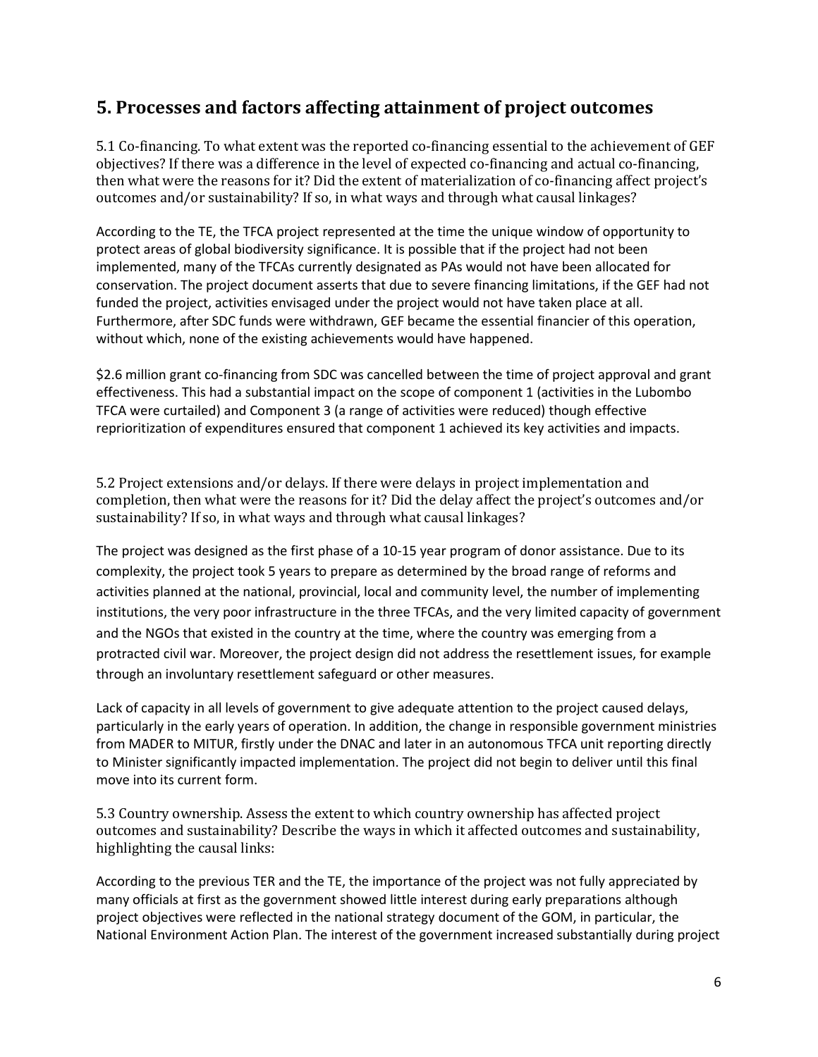### **5. Processes and factors affecting attainment of project outcomes**

5.1 Co-financing. To what extent was the reported co-financing essential to the achievement of GEF objectives? If there was a difference in the level of expected co-financing and actual co-financing, then what were the reasons for it? Did the extent of materialization of co-financing affect project's outcomes and/or sustainability? If so, in what ways and through what causal linkages?

According to the TE, the TFCA project represented at the time the unique window of opportunity to protect areas of global biodiversity significance. It is possible that if the project had not been implemented, many of the TFCAs currently designated as PAs would not have been allocated for conservation. The project document asserts that due to severe financing limitations, if the GEF had not funded the project, activities envisaged under the project would not have taken place at all. Furthermore, after SDC funds were withdrawn, GEF became the essential financier of this operation, without which, none of the existing achievements would have happened.

\$2.6 million grant co-financing from SDC was cancelled between the time of project approval and grant effectiveness. This had a substantial impact on the scope of component 1 (activities in the Lubombo TFCA were curtailed) and Component 3 (a range of activities were reduced) though effective reprioritization of expenditures ensured that component 1 achieved its key activities and impacts.

5.2 Project extensions and/or delays. If there were delays in project implementation and completion, then what were the reasons for it? Did the delay affect the project's outcomes and/or sustainability? If so, in what ways and through what causal linkages?

The project was designed as the first phase of a 10-15 year program of donor assistance. Due to its complexity, the project took 5 years to prepare as determined by the broad range of reforms and activities planned at the national, provincial, local and community level, the number of implementing institutions, the very poor infrastructure in the three TFCAs, and the very limited capacity of government and the NGOs that existed in the country at the time, where the country was emerging from a protracted civil war. Moreover, the project design did not address the resettlement issues, for example through an involuntary resettlement safeguard or other measures.

Lack of capacity in all levels of government to give adequate attention to the project caused delays, particularly in the early years of operation. In addition, the change in responsible government ministries from MADER to MITUR, firstly under the DNAC and later in an autonomous TFCA unit reporting directly to Minister significantly impacted implementation. The project did not begin to deliver until this final move into its current form.

5.3 Country ownership. Assess the extent to which country ownership has affected project outcomes and sustainability? Describe the ways in which it affected outcomes and sustainability, highlighting the causal links:

According to the previous TER and the TE, the importance of the project was not fully appreciated by many officials at first as the government showed little interest during early preparations although project objectives were reflected in the national strategy document of the GOM, in particular, the National Environment Action Plan. The interest of the government increased substantially during project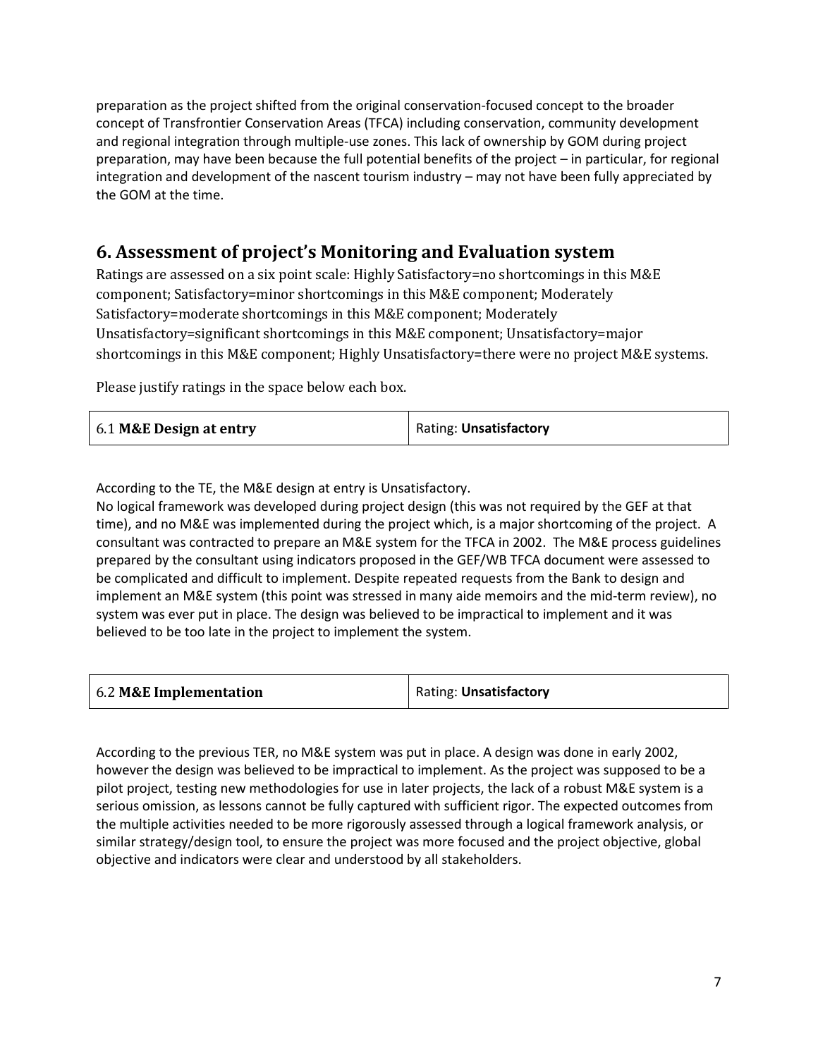preparation as the project shifted from the original conservation-focused concept to the broader concept of Transfrontier Conservation Areas (TFCA) including conservation, community development and regional integration through multiple-use zones. This lack of ownership by GOM during project preparation, may have been because the full potential benefits of the project – in particular, for regional integration and development of the nascent tourism industry – may not have been fully appreciated by the GOM at the time.

## **6. Assessment of project's Monitoring and Evaluation system**

Ratings are assessed on a six point scale: Highly Satisfactory=no shortcomings in this M&E component; Satisfactory=minor shortcomings in this M&E component; Moderately Satisfactory=moderate shortcomings in this M&E component; Moderately Unsatisfactory=significant shortcomings in this M&E component; Unsatisfactory=major shortcomings in this M&E component; Highly Unsatisfactory=there were no project M&E systems.

Please justify ratings in the space below each box.

| 6.1 M&E Design at entry | Rating: Unsatisfactory |
|-------------------------|------------------------|
|                         |                        |

According to the TE, the M&E design at entry is Unsatisfactory.

No logical framework was developed during project design (this was not required by the GEF at that time), and no M&E was implemented during the project which, is a major shortcoming of the project. A consultant was contracted to prepare an M&E system for the TFCA in 2002. The M&E process guidelines prepared by the consultant using indicators proposed in the GEF/WB TFCA document were assessed to be complicated and difficult to implement. Despite repeated requests from the Bank to design and implement an M&E system (this point was stressed in many aide memoirs and the mid-term review), no system was ever put in place. The design was believed to be impractical to implement and it was believed to be too late in the project to implement the system.

| 6.2 M&E Implementation | Rating: Unsatisfactory |
|------------------------|------------------------|
|------------------------|------------------------|

According to the previous TER, no M&E system was put in place. A design was done in early 2002, however the design was believed to be impractical to implement. As the project was supposed to be a pilot project, testing new methodologies for use in later projects, the lack of a robust M&E system is a serious omission, as lessons cannot be fully captured with sufficient rigor. The expected outcomes from the multiple activities needed to be more rigorously assessed through a logical framework analysis, or similar strategy/design tool, to ensure the project was more focused and the project objective, global objective and indicators were clear and understood by all stakeholders.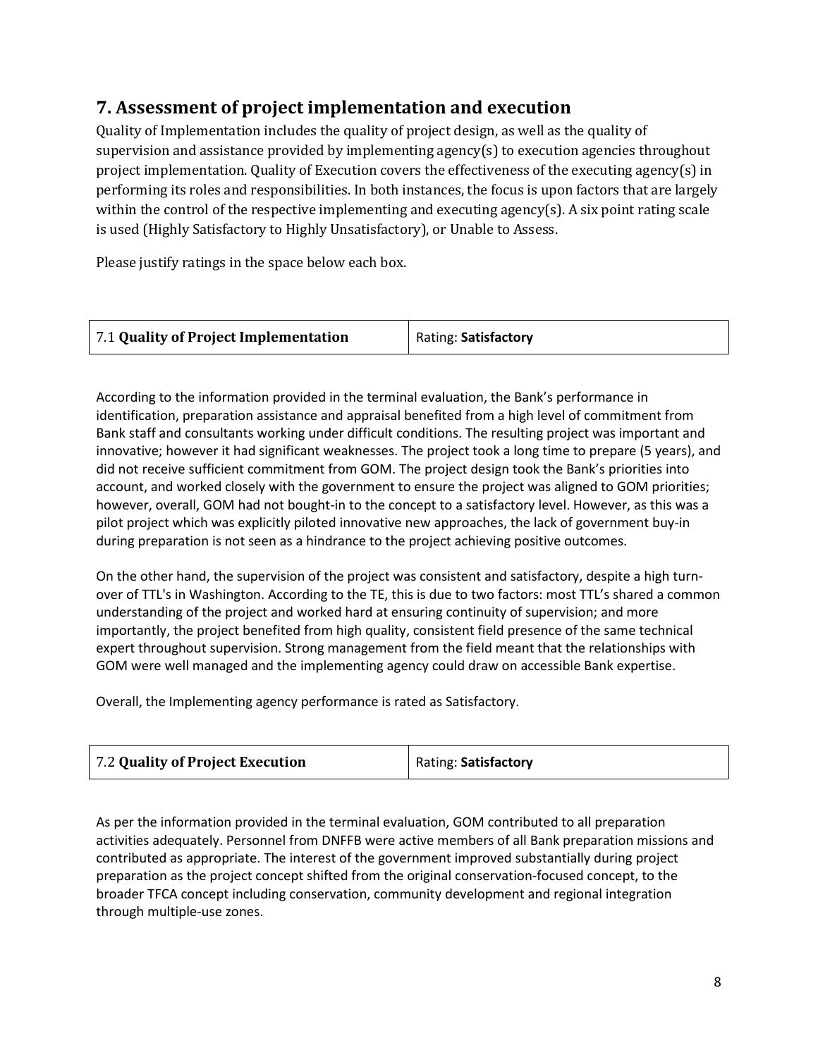# **7. Assessment of project implementation and execution**

Quality of Implementation includes the quality of project design, as well as the quality of supervision and assistance provided by implementing agency(s) to execution agencies throughout project implementation. Quality of Execution covers the effectiveness of the executing agency(s) in performing its roles and responsibilities. In both instances, the focus is upon factors that are largely within the control of the respective implementing and executing agency(s). A six point rating scale is used (Highly Satisfactory to Highly Unsatisfactory), or Unable to Assess.

Please justify ratings in the space below each box.

| Rating: Satisfactory |
|----------------------|
|                      |

According to the information provided in the terminal evaluation, the Bank's performance in identification, preparation assistance and appraisal benefited from a high level of commitment from Bank staff and consultants working under difficult conditions. The resulting project was important and innovative; however it had significant weaknesses. The project took a long time to prepare (5 years), and did not receive sufficient commitment from GOM. The project design took the Bank's priorities into account, and worked closely with the government to ensure the project was aligned to GOM priorities; however, overall, GOM had not bought-in to the concept to a satisfactory level. However, as this was a pilot project which was explicitly piloted innovative new approaches, the lack of government buy-in during preparation is not seen as a hindrance to the project achieving positive outcomes.

On the other hand, the supervision of the project was consistent and satisfactory, despite a high turnover of TTL's in Washington. According to the TE, this is due to two factors: most TTL's shared a common understanding of the project and worked hard at ensuring continuity of supervision; and more importantly, the project benefited from high quality, consistent field presence of the same technical expert throughout supervision. Strong management from the field meant that the relationships with GOM were well managed and the implementing agency could draw on accessible Bank expertise.

Overall, the Implementing agency performance is rated as Satisfactory.

| 7.2 Quality of Project Execution | Rating: Satisfactory |
|----------------------------------|----------------------|
|----------------------------------|----------------------|

As per the information provided in the terminal evaluation, GOM contributed to all preparation activities adequately. Personnel from DNFFB were active members of all Bank preparation missions and contributed as appropriate. The interest of the government improved substantially during project preparation as the project concept shifted from the original conservation-focused concept, to the broader TFCA concept including conservation, community development and regional integration through multiple-use zones.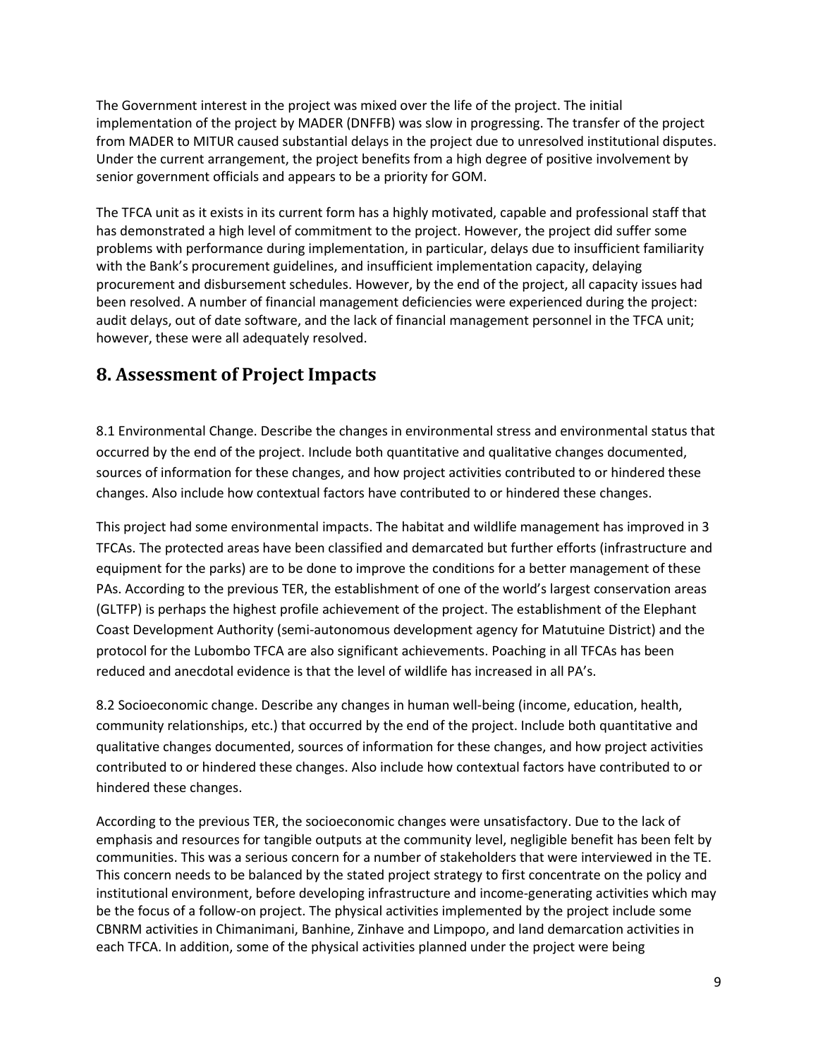The Government interest in the project was mixed over the life of the project. The initial implementation of the project by MADER (DNFFB) was slow in progressing. The transfer of the project from MADER to MITUR caused substantial delays in the project due to unresolved institutional disputes. Under the current arrangement, the project benefits from a high degree of positive involvement by senior government officials and appears to be a priority for GOM.

The TFCA unit as it exists in its current form has a highly motivated, capable and professional staff that has demonstrated a high level of commitment to the project. However, the project did suffer some problems with performance during implementation, in particular, delays due to insufficient familiarity with the Bank's procurement guidelines, and insufficient implementation capacity, delaying procurement and disbursement schedules. However, by the end of the project, all capacity issues had been resolved. A number of financial management deficiencies were experienced during the project: audit delays, out of date software, and the lack of financial management personnel in the TFCA unit; however, these were all adequately resolved.

### **8. Assessment of Project Impacts**

8.1 Environmental Change. Describe the changes in environmental stress and environmental status that occurred by the end of the project. Include both quantitative and qualitative changes documented, sources of information for these changes, and how project activities contributed to or hindered these changes. Also include how contextual factors have contributed to or hindered these changes.

This project had some environmental impacts. The habitat and wildlife management has improved in 3 TFCAs. The protected areas have been classified and demarcated but further efforts (infrastructure and equipment for the parks) are to be done to improve the conditions for a better management of these PAs. According to the previous TER, the establishment of one of the world's largest conservation areas (GLTFP) is perhaps the highest profile achievement of the project. The establishment of the Elephant Coast Development Authority (semi-autonomous development agency for Matutuine District) and the protocol for the Lubombo TFCA are also significant achievements. Poaching in all TFCAs has been reduced and anecdotal evidence is that the level of wildlife has increased in all PA's.

8.2 Socioeconomic change. Describe any changes in human well-being (income, education, health, community relationships, etc.) that occurred by the end of the project. Include both quantitative and qualitative changes documented, sources of information for these changes, and how project activities contributed to or hindered these changes. Also include how contextual factors have contributed to or hindered these changes.

According to the previous TER, the socioeconomic changes were unsatisfactory. Due to the lack of emphasis and resources for tangible outputs at the community level, negligible benefit has been felt by communities. This was a serious concern for a number of stakeholders that were interviewed in the TE. This concern needs to be balanced by the stated project strategy to first concentrate on the policy and institutional environment, before developing infrastructure and income-generating activities which may be the focus of a follow-on project. The physical activities implemented by the project include some CBNRM activities in Chimanimani, Banhine, Zinhave and Limpopo, and land demarcation activities in each TFCA. In addition, some of the physical activities planned under the project were being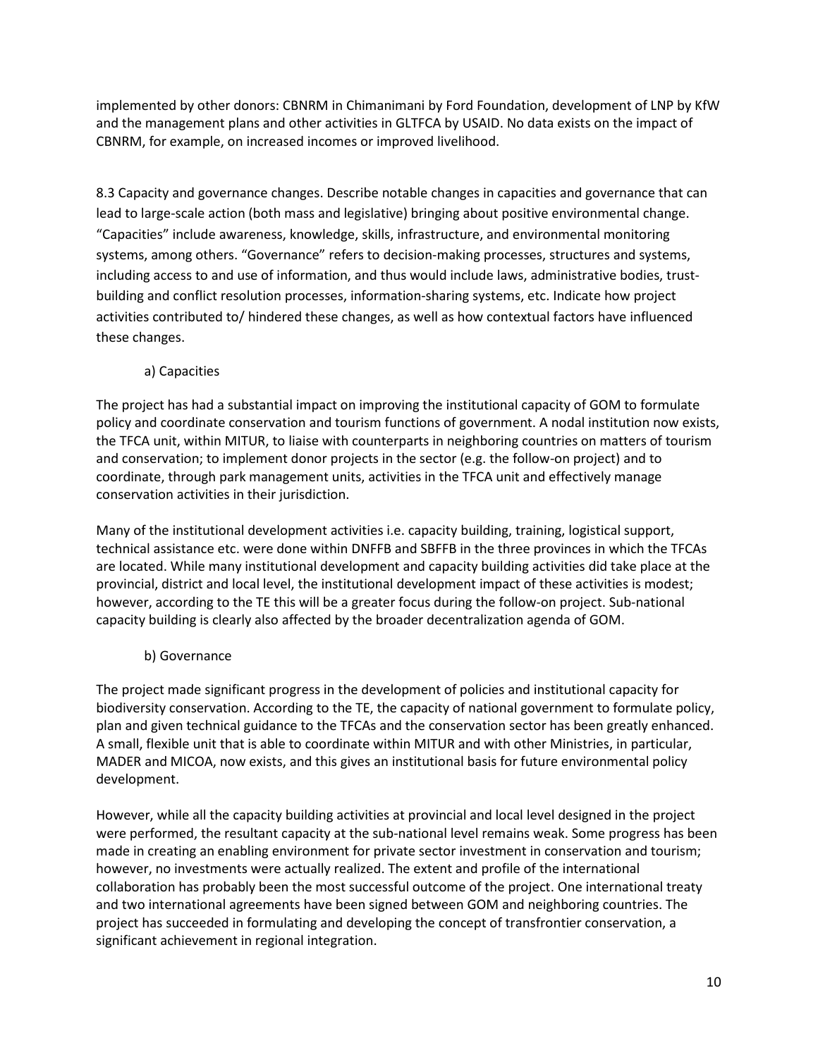implemented by other donors: CBNRM in Chimanimani by Ford Foundation, development of LNP by KfW and the management plans and other activities in GLTFCA by USAID. No data exists on the impact of CBNRM, for example, on increased incomes or improved livelihood.

8.3 Capacity and governance changes. Describe notable changes in capacities and governance that can lead to large-scale action (both mass and legislative) bringing about positive environmental change. "Capacities" include awareness, knowledge, skills, infrastructure, and environmental monitoring systems, among others. "Governance" refers to decision-making processes, structures and systems, including access to and use of information, and thus would include laws, administrative bodies, trustbuilding and conflict resolution processes, information-sharing systems, etc. Indicate how project activities contributed to/ hindered these changes, as well as how contextual factors have influenced these changes.

a) Capacities

The project has had a substantial impact on improving the institutional capacity of GOM to formulate policy and coordinate conservation and tourism functions of government. A nodal institution now exists, the TFCA unit, within MITUR, to liaise with counterparts in neighboring countries on matters of tourism and conservation; to implement donor projects in the sector (e.g. the follow-on project) and to coordinate, through park management units, activities in the TFCA unit and effectively manage conservation activities in their jurisdiction.

Many of the institutional development activities i.e. capacity building, training, logistical support, technical assistance etc. were done within DNFFB and SBFFB in the three provinces in which the TFCAs are located. While many institutional development and capacity building activities did take place at the provincial, district and local level, the institutional development impact of these activities is modest; however, according to the TE this will be a greater focus during the follow-on project. Sub-national capacity building is clearly also affected by the broader decentralization agenda of GOM.

#### b) Governance

The project made significant progress in the development of policies and institutional capacity for biodiversity conservation. According to the TE, the capacity of national government to formulate policy, plan and given technical guidance to the TFCAs and the conservation sector has been greatly enhanced. A small, flexible unit that is able to coordinate within MITUR and with other Ministries, in particular, MADER and MICOA, now exists, and this gives an institutional basis for future environmental policy development.

However, while all the capacity building activities at provincial and local level designed in the project were performed, the resultant capacity at the sub-national level remains weak. Some progress has been made in creating an enabling environment for private sector investment in conservation and tourism; however, no investments were actually realized. The extent and profile of the international collaboration has probably been the most successful outcome of the project. One international treaty and two international agreements have been signed between GOM and neighboring countries. The project has succeeded in formulating and developing the concept of transfrontier conservation, a significant achievement in regional integration.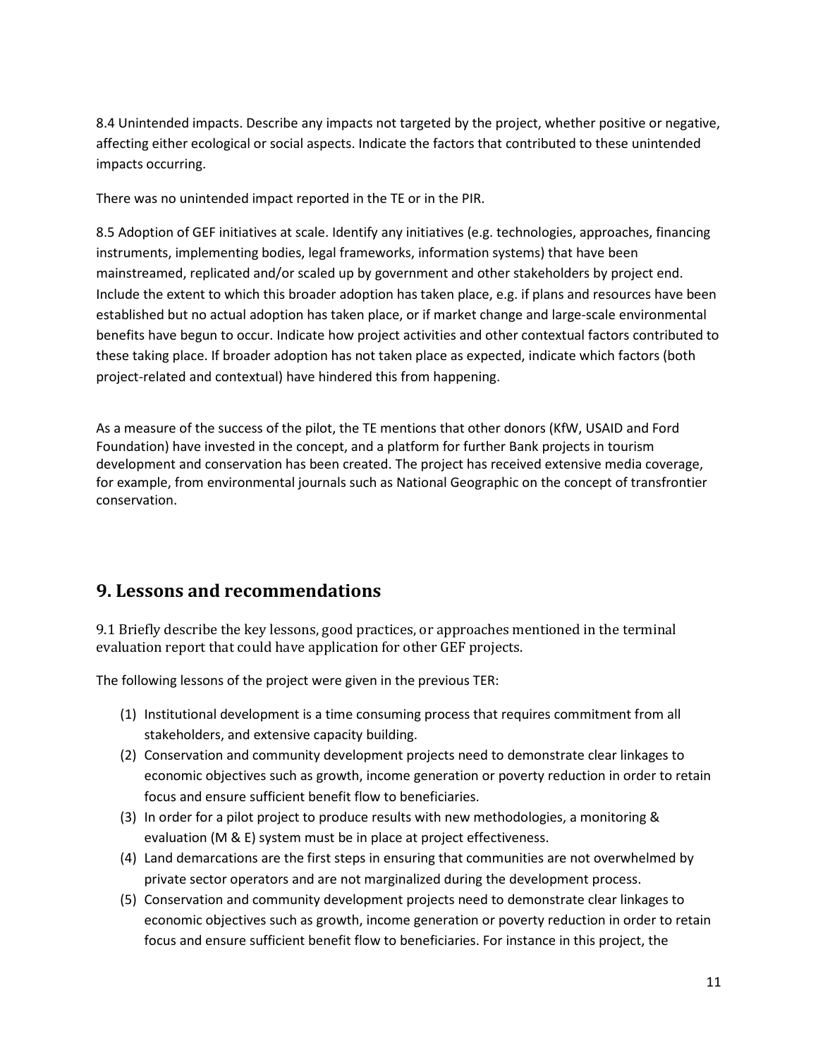8.4 Unintended impacts. Describe any impacts not targeted by the project, whether positive or negative, affecting either ecological or social aspects. Indicate the factors that contributed to these unintended impacts occurring.

There was no unintended impact reported in the TE or in the PIR.

8.5 Adoption of GEF initiatives at scale. Identify any initiatives (e.g. technologies, approaches, financing instruments, implementing bodies, legal frameworks, information systems) that have been mainstreamed, replicated and/or scaled up by government and other stakeholders by project end. Include the extent to which this broader adoption has taken place, e.g. if plans and resources have been established but no actual adoption has taken place, or if market change and large-scale environmental benefits have begun to occur. Indicate how project activities and other contextual factors contributed to these taking place. If broader adoption has not taken place as expected, indicate which factors (both project-related and contextual) have hindered this from happening.

As a measure of the success of the pilot, the TE mentions that other donors (KfW, USAID and Ford Foundation) have invested in the concept, and a platform for further Bank projects in tourism development and conservation has been created. The project has received extensive media coverage, for example, from environmental journals such as National Geographic on the concept of transfrontier conservation.

#### **9. Lessons and recommendations**

9.1 Briefly describe the key lessons, good practices, or approaches mentioned in the terminal evaluation report that could have application for other GEF projects.

The following lessons of the project were given in the previous TER:

- (1) Institutional development is a time consuming process that requires commitment from all stakeholders, and extensive capacity building.
- (2) Conservation and community development projects need to demonstrate clear linkages to economic objectives such as growth, income generation or poverty reduction in order to retain focus and ensure sufficient benefit flow to beneficiaries.
- (3) In order for a pilot project to produce results with new methodologies, a monitoring & evaluation (M & E) system must be in place at project effectiveness.
- (4) Land demarcations are the first steps in ensuring that communities are not overwhelmed by private sector operators and are not marginalized during the development process.
- (5) Conservation and community development projects need to demonstrate clear linkages to economic objectives such as growth, income generation or poverty reduction in order to retain focus and ensure sufficient benefit flow to beneficiaries. For instance in this project, the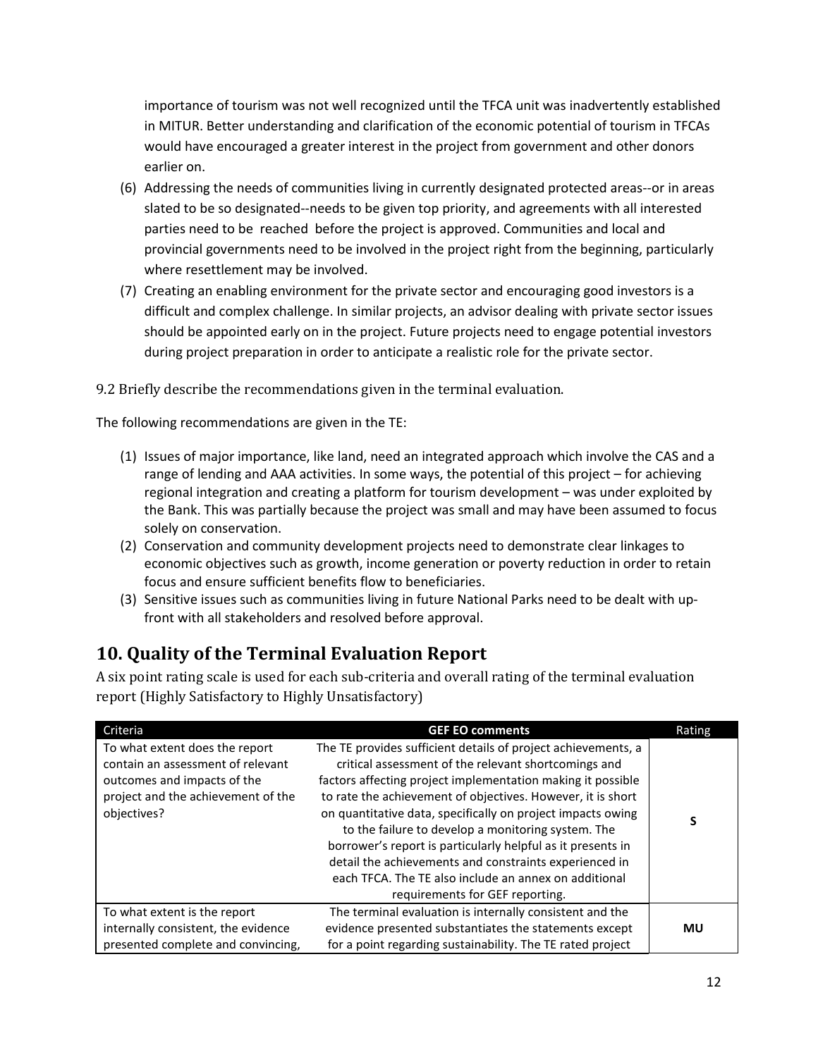importance of tourism was not well recognized until the TFCA unit was inadvertently established in MITUR. Better understanding and clarification of the economic potential of tourism in TFCAs would have encouraged a greater interest in the project from government and other donors earlier on.

- (6) Addressing the needs of communities living in currently designated protected areas--or in areas slated to be so designated--needs to be given top priority, and agreements with all interested parties need to be reached before the project is approved. Communities and local and provincial governments need to be involved in the project right from the beginning, particularly where resettlement may be involved.
- (7) Creating an enabling environment for the private sector and encouraging good investors is a difficult and complex challenge. In similar projects, an advisor dealing with private sector issues should be appointed early on in the project. Future projects need to engage potential investors during project preparation in order to anticipate a realistic role for the private sector.

9.2 Briefly describe the recommendations given in the terminal evaluation.

The following recommendations are given in the TE:

- (1) Issues of major importance, like land, need an integrated approach which involve the CAS and a range of lending and AAA activities. In some ways, the potential of this project – for achieving regional integration and creating a platform for tourism development – was under exploited by the Bank. This was partially because the project was small and may have been assumed to focus solely on conservation.
- (2) Conservation and community development projects need to demonstrate clear linkages to economic objectives such as growth, income generation or poverty reduction in order to retain focus and ensure sufficient benefits flow to beneficiaries.
- (3) Sensitive issues such as communities living in future National Parks need to be dealt with upfront with all stakeholders and resolved before approval.

# **10. Quality of the Terminal Evaluation Report**

A six point rating scale is used for each sub-criteria and overall rating of the terminal evaluation report (Highly Satisfactory to Highly Unsatisfactory)

| Criteria                                                                                                                                                | <b>GEF EO comments</b>                                                                                                                                                                                                                                                                                                                                                                                                                                                                                                                                                                        | Rating |
|---------------------------------------------------------------------------------------------------------------------------------------------------------|-----------------------------------------------------------------------------------------------------------------------------------------------------------------------------------------------------------------------------------------------------------------------------------------------------------------------------------------------------------------------------------------------------------------------------------------------------------------------------------------------------------------------------------------------------------------------------------------------|--------|
| To what extent does the report<br>contain an assessment of relevant<br>outcomes and impacts of the<br>project and the achievement of the<br>objectives? | The TE provides sufficient details of project achievements, a<br>critical assessment of the relevant shortcomings and<br>factors affecting project implementation making it possible<br>to rate the achievement of objectives. However, it is short<br>on quantitative data, specifically on project impacts owing<br>to the failure to develop a monitoring system. The<br>borrower's report is particularly helpful as it presents in<br>detail the achievements and constraints experienced in<br>each TFCA. The TE also include an annex on additional<br>requirements for GEF reporting. | S      |
| To what extent is the report<br>internally consistent, the evidence<br>presented complete and convincing,                                               | The terminal evaluation is internally consistent and the<br>evidence presented substantiates the statements except<br>for a point regarding sustainability. The TE rated project                                                                                                                                                                                                                                                                                                                                                                                                              | MU     |